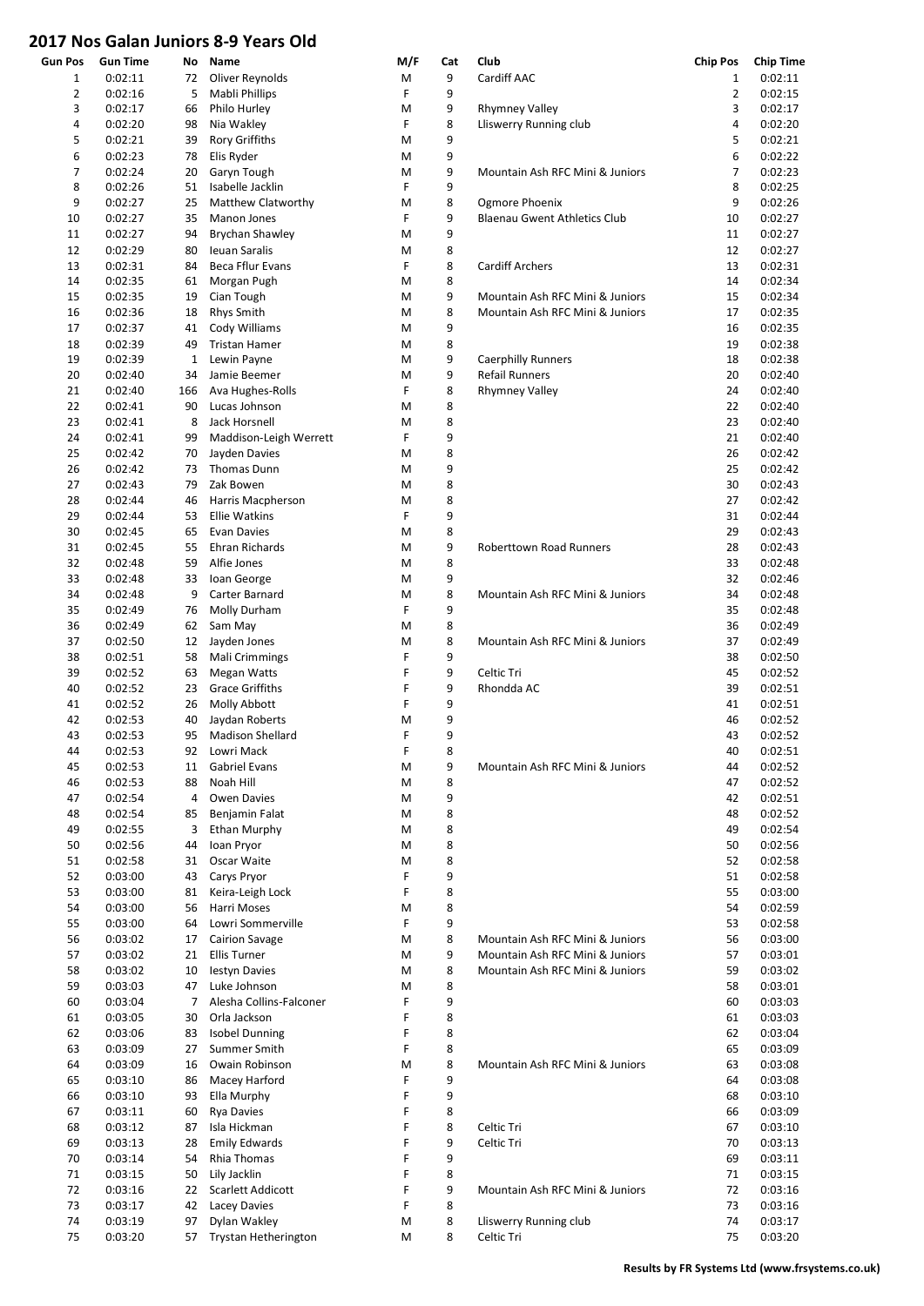## 2017 Nos Galan Juniors 8-9 Years Old

| <b>Gun Pos</b> | <b>Gun Time</b>    | No       | Name                       | M/F    | Cat    | Club                                | <b>Chip Pos</b> | <b>Chip Time</b>   |
|----------------|--------------------|----------|----------------------------|--------|--------|-------------------------------------|-----------------|--------------------|
| 1              | 0:02:11            | 72       | Oliver Reynolds            | M      | 9      | Cardiff AAC                         | 1               | 0:02:11            |
| $\overline{2}$ | 0:02:16            | 5        | Mabli Phillips             | F      | 9      |                                     | $\overline{2}$  | 0:02:15            |
| 3              | 0:02:17            | 66       | Philo Hurley               | M      | 9      | <b>Rhymney Valley</b>               | 3               | 0:02:17            |
| 4              | 0:02:20            | 98       | Nia Wakley                 | F      | 8      | Lliswerry Running club              | 4               | 0:02:20            |
| 5              | 0:02:21            | 39       | <b>Rory Griffiths</b>      | M      | 9      |                                     | 5               | 0:02:21            |
| 6              | 0:02:23            | 78       | Elis Ryder                 | M      | 9      |                                     | 6               | 0:02:22            |
| 7              | 0:02:24            | 20       | Garyn Tough                | M      | 9      | Mountain Ash RFC Mini & Juniors     | 7               | 0:02:23            |
| 8              | 0:02:26            | 51       | Isabelle Jacklin           | F      | 9      |                                     | 8               | 0:02:25            |
| 9              | 0:02:27            | 25       | Matthew Clatworthy         | M      | 8      | Ogmore Phoenix                      | 9               | 0:02:26            |
| 10             | 0:02:27            | 35       | Manon Jones                | F      | 9      | <b>Blaenau Gwent Athletics Club</b> | 10              | 0:02:27            |
| 11             | 0:02:27            | 94       | <b>Brychan Shawley</b>     | M      | 9      |                                     | 11              | 0:02:27            |
| 12             | 0:02:29            | 80       | <b>Ieuan Saralis</b>       | M      | 8      |                                     | 12              | 0:02:27            |
| 13             | 0:02:31            | 84       | Beca Fflur Evans           | F      | 8      | <b>Cardiff Archers</b>              | 13              | 0:02:31            |
| 14             | 0:02:35            | 61       | Morgan Pugh                | M      | 8      |                                     | 14              | 0:02:34            |
| 15             | 0:02:35            | 19       | Cian Tough                 | M      | 9      | Mountain Ash RFC Mini & Juniors     | 15              | 0:02:34            |
| 16             | 0:02:36            | 18       | <b>Rhys Smith</b>          | M      | 8      | Mountain Ash RFC Mini & Juniors     | 17              | 0:02:35            |
| 17             | 0:02:37            | 41       | Cody Williams              | M      | 9      |                                     | 16              | 0:02:35            |
| 18             | 0:02:39            | 49       | <b>Tristan Hamer</b>       | M      | 8      |                                     | 19              | 0:02:38            |
| 19             | 0:02:39            | 1        | Lewin Payne                | M      | 9      | <b>Caerphilly Runners</b>           | 18              | 0:02:38            |
| 20             | 0:02:40            | 34       | Jamie Beemer               | M      | 9      | <b>Refail Runners</b>               | 20              | 0:02:40            |
| 21             | 0:02:40            | 166      | Ava Hughes-Rolls           | F      | 8      | <b>Rhymney Valley</b>               | 24              | 0:02:40            |
| 22             | 0:02:41            | 90       | Lucas Johnson              | M      | 8      |                                     | 22              | 0:02:40            |
| 23             | 0:02:41            | 8        | Jack Horsnell              | M      | 8      |                                     | 23              | 0:02:40            |
| 24             | 0:02:41            | 99       | Maddison-Leigh Werrett     | F      | 9      |                                     | 21              | 0:02:40            |
| 25             | 0:02:42            | 70       | Jayden Davies              | M      | 8      |                                     | 26              | 0:02:42            |
| 26             | 0:02:42            | 73       | Thomas Dunn                | M      | 9      |                                     | 25              | 0:02:42            |
| 27             | 0:02:43            | 79       | Zak Bowen                  | M      | 8      |                                     | 30              | 0:02:43            |
| 28             | 0:02:44            | 46       | Harris Macpherson          | M      | 8      |                                     | 27              | 0:02:42            |
| 29             | 0:02:44            | 53       | <b>Ellie Watkins</b>       | F      | 9      |                                     | 31              | 0:02:44            |
| 30             | 0:02:45            | 65       | <b>Evan Davies</b>         | M      | 8      |                                     | 29              | 0:02:43            |
| 31             | 0:02:45            | 55       | Ehran Richards             | M      | 9      | Roberttown Road Runners             | 28              | 0:02:43            |
| 32             | 0:02:48            | 59       | Alfie Jones                | M      | 8      |                                     | 33              | 0:02:48            |
| 33             | 0:02:48            | 33       | Ioan George                | M      | 9      |                                     | 32              | 0:02:46            |
| 34             | 0:02:48            | 9        | Carter Barnard             | M      | 8      | Mountain Ash RFC Mini & Juniors     | 34              | 0:02:48            |
| 35             | 0:02:49            | 76       | Molly Durham               | F      | 9      |                                     | 35              | 0:02:48            |
| 36             | 0:02:49            | 62       | Sam May                    | M      | 8      |                                     | 36              | 0:02:49            |
| 37             | 0:02:50            | 12       | Jayden Jones               | M      | 8      | Mountain Ash RFC Mini & Juniors     | 37              | 0:02:49            |
| 38             | 0:02:51            | 58       | Mali Crimmings             | F      | 9      |                                     | 38              | 0:02:50            |
| 39             | 0:02:52            | 63       | <b>Megan Watts</b>         | F      | 9      | Celtic Tri                          | 45              | 0:02:52            |
| 40             | 0:02:52            | 23       | <b>Grace Griffiths</b>     | F      | 9      | Rhondda AC                          | 39              | 0:02:51            |
| 41             | 0:02:52            | 26       | Molly Abbott               | F      | 9      |                                     | 41              | 0:02:51            |
| 42             | 0:02:53            | 40       | Jaydan Roberts             | M      | 9      |                                     | 46              | 0:02:52            |
| 43             | 0:02:53            | 95       | <b>Madison Shellard</b>    | F      | 9      |                                     | 43              | 0:02:52            |
| 44             | 0:02:53<br>0:02:53 | 92       | Lowri Mack                 | F      | 8      |                                     | 40              | 0:02:51            |
| 45             |                    | 11<br>88 | Gabriel Evans<br>Noah Hill | M      | 9<br>8 | Mountain Ash RFC Mini & Juniors     | 44<br>47        | 0:02:52            |
| 46<br>47       | 0:02:53<br>0:02:54 | 4        | Owen Davies                | M<br>M | 9      |                                     | 42              | 0:02:52<br>0:02:51 |
| 48             | 0:02:54            | 85       | Benjamin Falat             | M      | 8      |                                     | 48              | 0:02:52            |
| 49             | 0:02:55            | 3        | <b>Ethan Murphy</b>        | M      | 8      |                                     | 49              | 0:02:54            |
| 50             | 0:02:56            | 44       | Ioan Pryor                 | M      | 8      |                                     | 50              | 0:02:56            |
| 51             | 0:02:58            | 31       | Oscar Waite                | M      | 8      |                                     | 52              | 0:02:58            |
| 52             | 0:03:00            | 43       | Carys Pryor                | F      | 9      |                                     | 51              | 0:02:58            |
| 53             | 0:03:00            | 81       | Keira-Leigh Lock           | F      | 8      |                                     | 55              | 0:03:00            |
| 54             | 0:03:00            | 56       | Harri Moses                | M      | 8      |                                     | 54              | 0:02:59            |
| 55             | 0:03:00            | 64       | Lowri Sommerville          | F      | 9      |                                     | 53              | 0:02:58            |
| 56             | 0:03:02            | 17       | Cairion Savage             | M      | 8      | Mountain Ash RFC Mini & Juniors     | 56              | 0:03:00            |
| 57             | 0:03:02            | 21       | <b>Ellis Turner</b>        | M      | 9      | Mountain Ash RFC Mini & Juniors     | 57              | 0:03:01            |
| 58             | 0:03:02            | 10       | Iestyn Davies              | M      | 8      | Mountain Ash RFC Mini & Juniors     | 59              | 0:03:02            |
| 59             | 0:03:03            | 47       | Luke Johnson               | M      | 8      |                                     | 58              | 0:03:01            |
| 60             | 0:03:04            | 7        | Alesha Collins-Falconer    | F      | 9      |                                     | 60              | 0:03:03            |
| 61             | 0:03:05            | 30       | Orla Jackson               | F      | 8      |                                     | 61              | 0:03:03            |
| 62             | 0:03:06            | 83       | <b>Isobel Dunning</b>      | F      | 8      |                                     | 62              | 0:03:04            |
| 63             | 0:03:09            | 27       | Summer Smith               | F      | 8      |                                     | 65              | 0:03:09            |
| 64             | 0:03:09            | 16       | Owain Robinson             | M      | 8      | Mountain Ash RFC Mini & Juniors     | 63              | 0:03:08            |
| 65             | 0:03:10            | 86       | Macey Harford              | F      | 9      |                                     | 64              | 0:03:08            |
| 66             | 0:03:10            | 93       | Ella Murphy                | F      | 9      |                                     | 68              | 0:03:10            |
| 67             | 0:03:11            | 60       | <b>Rya Davies</b>          | F      | 8      |                                     | 66              | 0:03:09            |
| 68             | 0:03:12            | 87       | Isla Hickman               | F      | 8      | Celtic Tri                          | 67              | 0:03:10            |
| 69             | 0:03:13            | 28       | <b>Emily Edwards</b>       | F      | 9      | Celtic Tri                          | 70              | 0:03:13            |
| 70             | 0:03:14            | 54       | Rhia Thomas                | F      | 9      |                                     | 69              | 0:03:11            |
| 71             | 0:03:15            | 50       | Lily Jacklin               | F      | 8      |                                     | 71              | 0:03:15            |
| 72             | 0:03:16            | 22       | Scarlett Addicott          | F      | 9      | Mountain Ash RFC Mini & Juniors     | 72              | 0:03:16            |
| 73             | 0:03:17            | 42       | Lacey Davies               | F      | 8      |                                     | 73              | 0:03:16            |
| 74             | 0:03:19            | 97       | Dylan Wakley               | M      | 8      | Lliswerry Running club              | 74              | 0:03:17            |
| 75             | 0:03:20            | 57       | Trystan Hetherington       | M      | 8      | Celtic Tri                          | 75              | 0:03:20            |
|                |                    |          |                            |        |        |                                     |                 |                    |